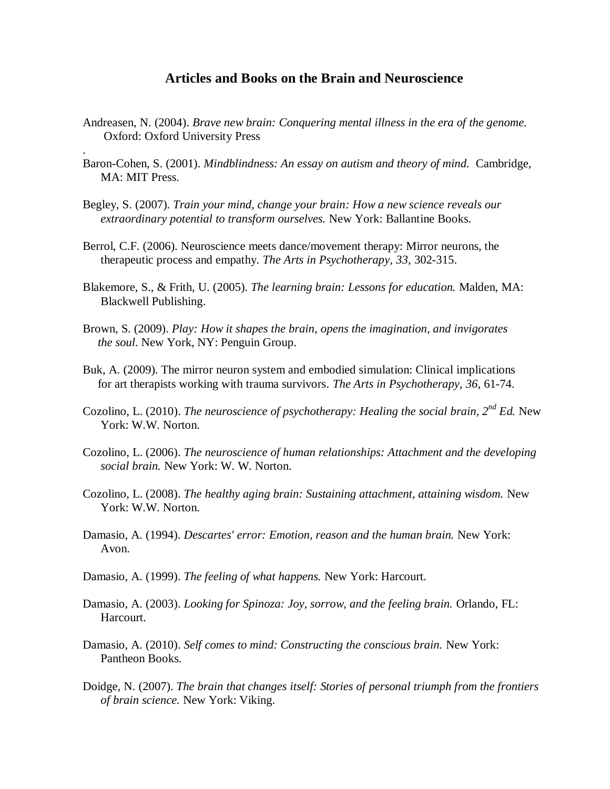## **Articles and Books on the Brain and Neuroscience**

- Andreasen, N. (2004). *Brave new brain: Conquering mental illness in the era of the genome.* **Oxford: Oxford University Press**
- Baron-Cohen, S. (2001). *Mindblindness: An essay on autism and theory of mind.* Cambridge, MA: MIT Press.
- Begley, S. (2007). *Train your mind, change your brain: How a new science reveals our extraordinary potential to transform ourselves.* New York: Ballantine Books.

.

- Berrol, C.F. (2006). Neuroscience meets dance/movement therapy: Mirror neurons, the therapeutic process and empathy. *The Arts in Psychotherapy, 33*, 302-315.
- Blakemore, S., & Frith, U. (2005). *The learning brain: Lessons for education.* Malden, MA: Blackwell Publishing.
- Brown, S. (2009). *Play: How it shapes the brain, opens the imagination, and invigorates the soul.* New York, NY: Penguin Group.
- Buk, A. (2009). The mirror neuron system and embodied simulation: Clinical implications for art therapists working with trauma survivors. *The Arts in Psychotherapy, 36*, 61-74.
- Cozolino, L. (2010). *The neuroscience of psychotherapy: Healing the social brain, 2nd Ed.* New York: W.W. Norton.
- Cozolino, L. (2006). *The neuroscience of human relationships: Attachment and the developing social brain.* New York: W. W. Norton.
- Cozolino, L. (2008). *The healthy aging brain: Sustaining attachment, attaining wisdom.* New York: W.W. Norton.
- Damasio, A. (1994). *Descartes' error: Emotion, reason and the human brain.* New York: Avon.
- Damasio, A. (1999). *The feeling of what happens.* New York: Harcourt.
- Damasio, A. (2003). *Looking for Spinoza: Joy, sorrow, and the feeling brain.* Orlando, FL: Harcourt.
- Damasio, A. (2010). *Self comes to mind: Constructing the conscious brain.* New York: Pantheon Books.
- Doidge, N. (2007). *The brain that changes itself: Stories of personal triumph from the frontiers of brain science.* New York: Viking.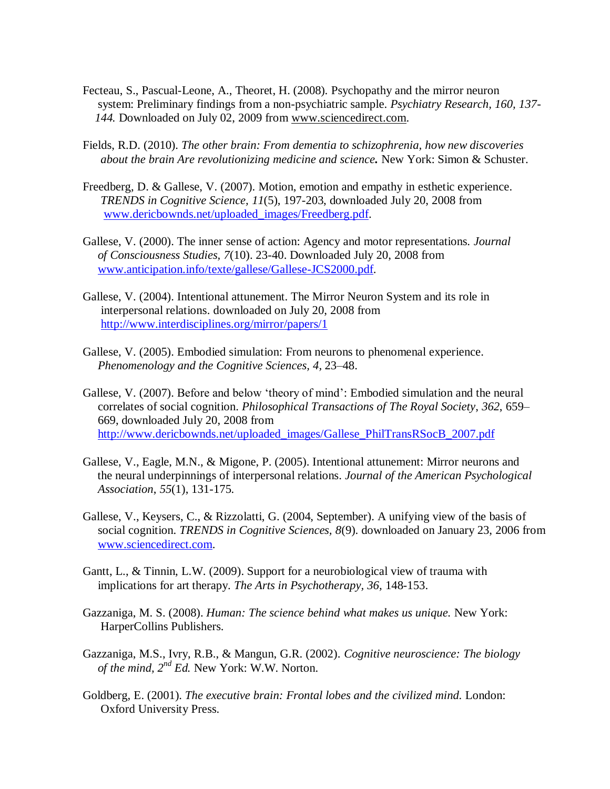- Fecteau, S., Pascual-Leone, A., Theoret, H. (2008). Psychopathy and the mirror neuron system: Preliminary findings from a non-psychiatric sample. *Psychiatry Research, 160, 137- 144.* Downloaded on July 02, 2009 from [www.sciencedirect.com.](http://www.sciencedirect.com/)
- Fields, R.D. (2010). *The other brain: From dementia to schizophrenia, how new discoveries about the brain Are revolutionizing medicine and science.* New York: Simon & Schuster.
- Freedberg, D. & Gallese, V. (2007). Motion, emotion and empathy in esthetic experience. *TRENDS in Cognitive Science, 11*(5), 197-203, downloaded July 20, 2008 from [www.dericbownds.net/uploaded\\_images/Freedberg.pdf.](http://www.dericbownds.net/uploaded_images/Freedberg.pdf)
- Gallese, V. (2000). The inner sense of action: Agency and motor representations. *Journal of Consciousness Studies, 7*(10). 23-40. Downloaded July 20, 2008 from [www.anticipation.info/texte/gallese/Gallese-JCS2000.pdf.](http://www.anticipation.info/texte/gallese/Gallese-JCS2000.pdf)
- Gallese, V. (2004). Intentional attunement. The Mirror Neuron System and its role in interpersonal relations. downloaded on July 20, 2008 from <http://www.interdisciplines.org/mirror/papers/1>
- Gallese, V. (2005). Embodied simulation: From neurons to phenomenal experience.  *Phenomenology and the Cognitive Sciences, 4,* 23–48.
- Gallese, V. (2007). Before and below "theory of mind": Embodied simulation and the neural correlates of social cognition. *Philosophical Transactions of The Royal Society*, *362*, 659– 669, downloaded July 20, 2008 from [http://www.dericbownds.net/uploaded\\_images/Gallese\\_PhilTransRSocB\\_2007.pdf](http://www.dericbownds.net/uploaded_images/Gallese_PhilTransRSocB_2007.pdf)
- Gallese, V., Eagle, M.N., & Migone, P. (2005). Intentional attunement: Mirror neurons and the neural underpinnings of interpersonal relations. *Journal of the American Psychological Association*, *55*(1), 131-175.
- Gallese, V., Keysers, C., & Rizzolatti, G. (2004, September). A unifying view of the basis of social cognition. *TRENDS in Cognitive Sciences, 8*(9). downloaded on January 23, 2006 from [www.sciencedirect.com.](http://www.sciencedirect.com/)
- Gantt, L., & Tinnin, L.W. (2009). Support for a neurobiological view of trauma with implications for art therapy. *The Arts in Psychotherapy, 36,* 148-153.
- Gazzaniga, M. S. (2008). *Human: The science behind what makes us unique.* New York: HarperCollins Publishers.
- Gazzaniga, M.S., Ivry, R.B., & Mangun, G.R. (2002). *Cognitive neuroscience: The biology of the mind, 2nd Ed.* New York: W.W. Norton.
- Goldberg, E. (2001). *The executive brain: Frontal lobes and the civilized mind.* London: Oxford University Press.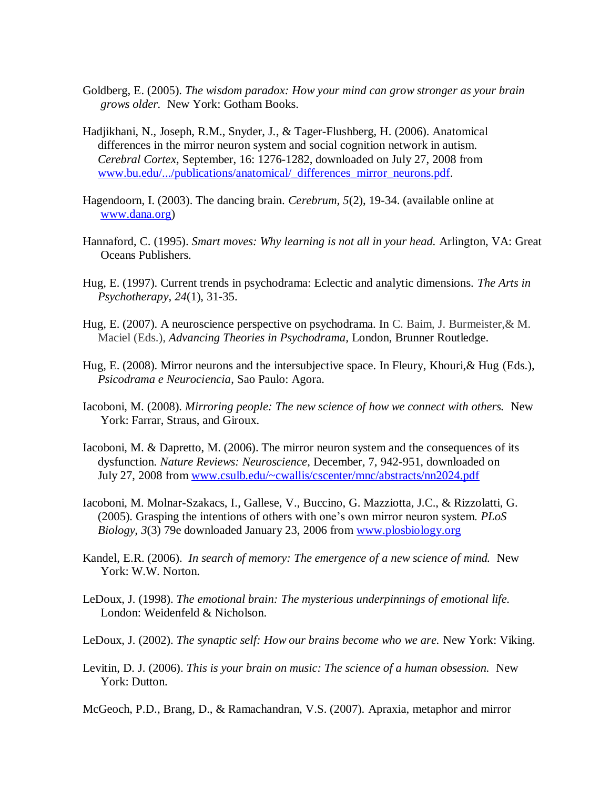- Goldberg, E. (2005). *The wisdom paradox: How your mind can grow stronger as your brain grows older.* New York: Gotham Books.
- Hadjikhani, N., Joseph, R.M., Snyder, J., & Tager-Flushberg, H. (2006). Anatomical differences in the mirror neuron system and social cognition network in autism.  *Cerebral Cortex,* September, 16: 1276-1282, downloaded on July 27, 2008 from [www.bu.edu/.../publications/anatomical/\\_differences\\_mirror\\_neurons.pdf.](http://www.bu.edu/.../publications/anatomical/_differences_mirror_neurons.pdf)
- Hagendoorn, I. (2003). The dancing brain. *Cerebrum, 5*(2), 19-34. (available online at [www.dana.org\)](http://www.dana.org/)
- Hannaford, C. (1995). *Smart moves: Why learning is not all in your head.* Arlington, VA: Great Oceans Publishers.
- Hug, E. (1997). Current trends in psychodrama: Eclectic and analytic dimensions. *The Arts in Psychotherapy, 24*(1), 31-35.
- Hug, E. (2007). A neuroscience perspective on psychodrama. In C. Baim, J. Burmeister,& M. Maciel (Eds.), *Advancing Theories in Psychodrama,* London, Brunner Routledge.
- Hug, E. (2008). Mirror neurons and the intersubjective space. In Fleury, Khouri,& Hug (Eds.), *Psicodrama e Neurociencia*, Sao Paulo: Agora.
- Iacoboni, M. (2008). *Mirroring people: The new science of how we connect with others.* New York: Farrar, Straus, and Giroux.
- Iacoboni, M. & Dapretto, M. (2006). The mirror neuron system and the consequences of its dysfunction. *Nature Reviews: Neuroscience*, December, 7, 942-951, downloaded on July 27, 2008 from [www.csulb.edu/~cwallis/cscenter/mnc/abstracts/nn2024.pdf](http://www.csulb.edu/~cwallis/cscenter/mnc/abstracts/nn2024.pdf)
- Iacoboni, M. Molnar-Szakacs, I., Gallese, V., Buccino, G. Mazziotta, J.C., & Rizzolatti, G. (2005). Grasping the intentions of others with one"s own mirror neuron system. *PLoS Biology, 3*(3) 79e downloaded January 23, 2006 from [www.plosbiology.org](http://www.plosbiology.org/)
- Kandel, E.R. (2006). *In search of memory: The emergence of a new science of mind.* New York: W.W. Norton.
- LeDoux, J. (1998). *The emotional brain: The mysterious underpinnings of emotional life.* London: Weidenfeld & Nicholson.
- LeDoux, J. (2002). *The synaptic self: How our brains become who we are.* New York: Viking.
- Levitin, D. J. (2006). *This is your brain on music: The science of a human obsession.* New York: Dutton.
- McGeoch, P.D., Brang, D., & Ramachandran, V.S. (2007). Apraxia, metaphor and mirror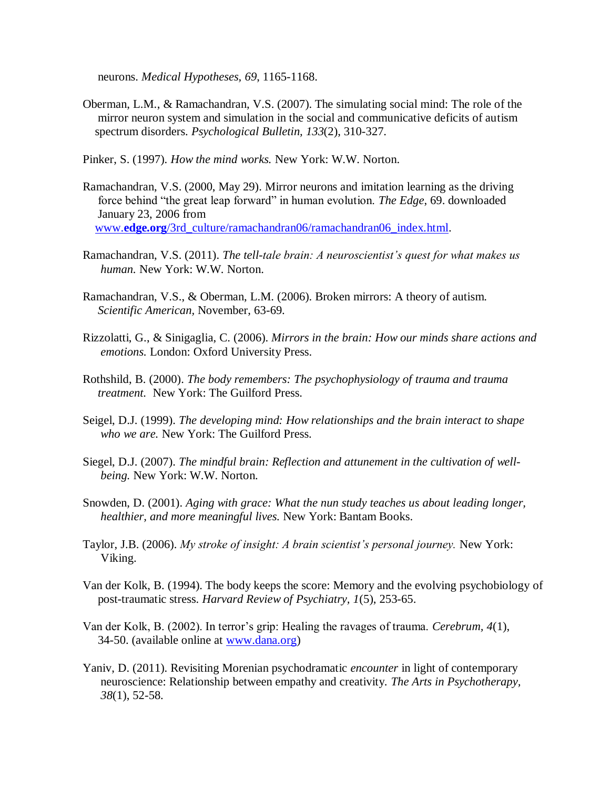neurons. *Medical Hypotheses, 69*, 1165-1168.

- Oberman, L.M., & Ramachandran, V.S. (2007). The simulating social mind: The role of the mirror neuron system and simulation in the social and communicative deficits of autism spectrum disorders. *Psychological Bulletin, 133*(2), 310-327.
- Pinker, S. (1997). *How the mind works.* New York: W.W. Norton.
- Ramachandran, V.S. (2000, May 29). Mirror neurons and imitation learning as the driving force behind "the great leap forward" in human evolution. *The Edge*, 69. downloaded January 23, 2006 from www.**edge.org**[/3rd\\_culture/ramachandran06/ramachandran06\\_index.html.](http://www.edge.org/3rd_culture/ramachandran06/ramachandran06_index.html)
- Ramachandran, V.S. (2011). *The tell-tale brain: A neuroscientist's quest for what makes us human.* New York: W.W. Norton.
- Ramachandran, V.S., & Oberman, L.M. (2006). Broken mirrors: A theory of autism.  *Scientific American,* November, 63-69.
- Rizzolatti, G., & Sinigaglia, C. (2006). *Mirrors in the brain: How our minds share actions and emotions.* London: Oxford University Press.
- Rothshild, B. (2000). *The body remembers: The psychophysiology of trauma and trauma treatment.* New York: The Guilford Press.
- Seigel, D.J. (1999). *The developing mind: How relationships and the brain interact to shape who we are.* New York: The Guilford Press.
- Siegel, D.J. (2007). *The mindful brain: Reflection and attunement in the cultivation of wellbeing.* New York: W.W. Norton.
- Snowden, D. (2001). *Aging with grace: What the nun study teaches us about leading longer, healthier, and more meaningful lives.* New York: Bantam Books.
- Taylor, J.B. (2006). *My stroke of insight: A brain scientist's personal journey.* New York: Viking.
- Van der Kolk, B. (1994). The body keeps the score: Memory and the evolving psychobiology of post-traumatic stress. *Harvard Review of Psychiatry, 1*(5), 253-65.
- Van der Kolk, B. (2002). In terror"s grip: Healing the ravages of trauma. *Cerebrum, 4*(1), 34-50. (available online at [www.dana.org\)](http://www.dana.org/)
- Yaniv, D. (2011). Revisiting Morenian psychodramatic *encounter* in light of contemporary neuroscience: Relationship between empathy and creativity. *The Arts in Psychotherapy, 38*(1), 52-58.